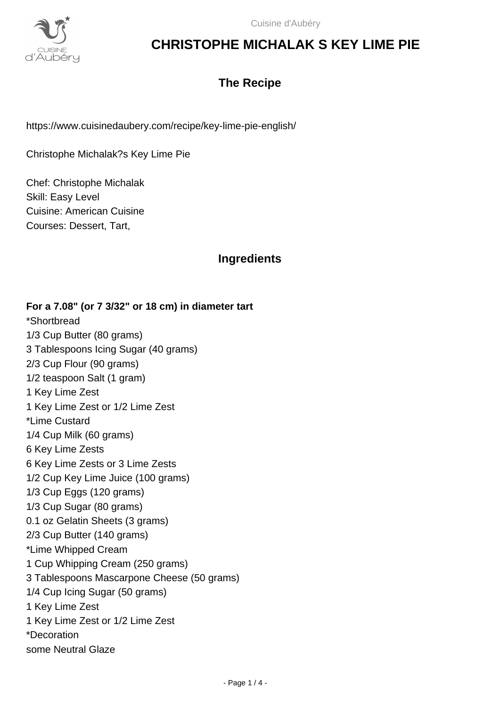

### **The Recipe**

https://www.cuisinedaubery.com/recipe/key-lime-pie-english/

Christophe Michalak?s Key Lime Pie

Chef: Christophe Michalak Skill: Easy Level Cuisine: American Cuisine Courses: Dessert, Tart,

### **Ingredients**

**For a 7.08" (or 7 3/32" or 18 cm) in diameter tart** \*Shortbread 1/3 Cup Butter (80 grams) 3 Tablespoons Icing Sugar (40 grams) 2/3 Cup Flour (90 grams) 1/2 teaspoon Salt (1 gram) 1 Key Lime Zest 1 Key Lime Zest or 1/2 Lime Zest \*Lime Custard 1/4 Cup Milk (60 grams) 6 Key Lime Zests 6 Key Lime Zests or 3 Lime Zests 1/2 Cup Key Lime Juice (100 grams) 1/3 Cup Eggs (120 grams) 1/3 Cup Sugar (80 grams) 0.1 oz Gelatin Sheets (3 grams) 2/3 Cup Butter (140 grams) \*Lime Whipped Cream 1 Cup Whipping Cream (250 grams) 3 Tablespoons Mascarpone Cheese (50 grams) 1/4 Cup Icing Sugar (50 grams) 1 Key Lime Zest 1 Key Lime Zest or 1/2 Lime Zest \*Decoration some Neutral Glaze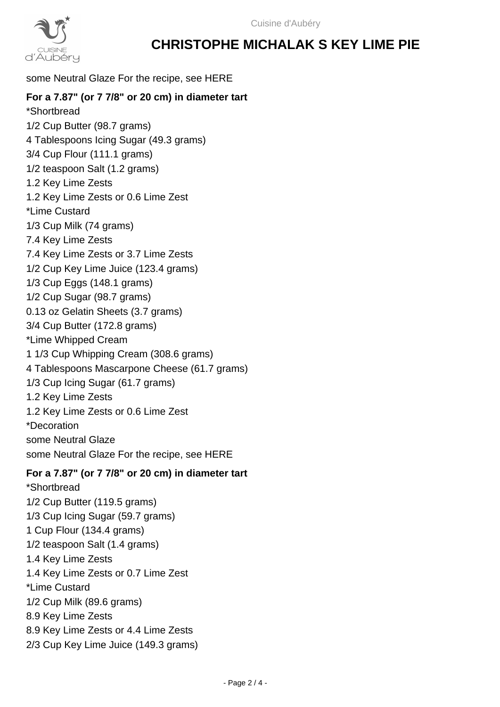

#### some Neutral Glaze For the recipe, see HERE

#### **For a 7.87" (or 7 7/8" or 20 cm) in diameter tart**

\*Shortbread 1/2 Cup Butter (98.7 grams) 4 Tablespoons Icing Sugar (49.3 grams) 3/4 Cup Flour (111.1 grams) 1/2 teaspoon Salt (1.2 grams) 1.2 Key Lime Zests 1.2 Key Lime Zests or 0.6 Lime Zest \*Lime Custard 1/3 Cup Milk (74 grams) 7.4 Key Lime Zests 7.4 Key Lime Zests or 3.7 Lime Zests 1/2 Cup Key Lime Juice (123.4 grams) 1/3 Cup Eggs (148.1 grams) 1/2 Cup Sugar (98.7 grams) 0.13 oz Gelatin Sheets (3.7 grams) 3/4 Cup Butter (172.8 grams) \*Lime Whipped Cream 1 1/3 Cup Whipping Cream (308.6 grams) 4 Tablespoons Mascarpone Cheese (61.7 grams) 1/3 Cup Icing Sugar (61.7 grams) 1.2 Key Lime Zests 1.2 Key Lime Zests or 0.6 Lime Zest \*Decoration some Neutral Glaze some Neutral Glaze For the recipe, see HERE

#### **For a 7.87" (or 7 7/8" or 20 cm) in diameter tart**

\*Shortbread 1/2 Cup Butter (119.5 grams) 1/3 Cup Icing Sugar (59.7 grams) 1 Cup Flour (134.4 grams) 1/2 teaspoon Salt (1.4 grams) 1.4 Key Lime Zests 1.4 Key Lime Zests or 0.7 Lime Zest \*Lime Custard 1/2 Cup Milk (89.6 grams) 8.9 Key Lime Zests 8.9 Key Lime Zests or 4.4 Lime Zests 2/3 Cup Key Lime Juice (149.3 grams)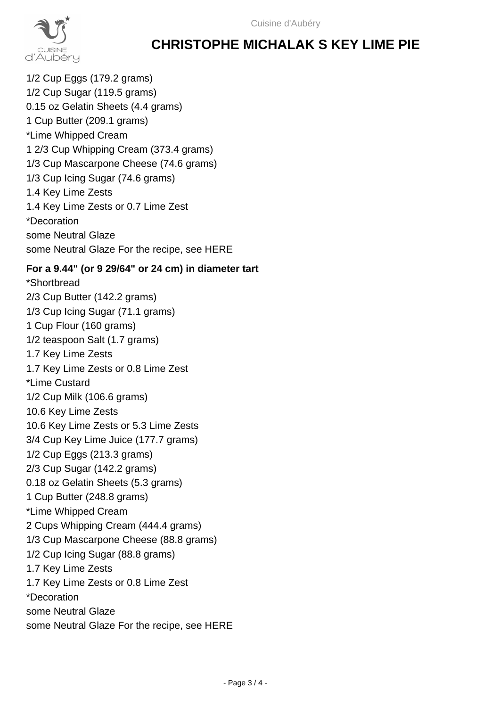

1/2 Cup Eggs (179.2 grams) 1/2 Cup Sugar (119.5 grams) 0.15 oz Gelatin Sheets (4.4 grams) 1 Cup Butter (209.1 grams) \*Lime Whipped Cream 1 2/3 Cup Whipping Cream (373.4 grams) 1/3 Cup Mascarpone Cheese (74.6 grams) 1/3 Cup Icing Sugar (74.6 grams) 1.4 Key Lime Zests 1.4 Key Lime Zests or 0.7 Lime Zest \*Decoration some Neutral Glaze some Neutral Glaze For the recipe, see HERE

#### **For a 9.44" (or 9 29/64" or 24 cm) in diameter tart**

\*Shortbread 2/3 Cup Butter (142.2 grams) 1/3 Cup Icing Sugar (71.1 grams) 1 Cup Flour (160 grams) 1/2 teaspoon Salt (1.7 grams) 1.7 Key Lime Zests 1.7 Key Lime Zests or 0.8 Lime Zest \*Lime Custard 1/2 Cup Milk (106.6 grams) 10.6 Key Lime Zests 10.6 Key Lime Zests or 5.3 Lime Zests 3/4 Cup Key Lime Juice (177.7 grams) 1/2 Cup Eggs (213.3 grams) 2/3 Cup Sugar (142.2 grams) 0.18 oz Gelatin Sheets (5.3 grams) 1 Cup Butter (248.8 grams) \*Lime Whipped Cream 2 Cups Whipping Cream (444.4 grams) 1/3 Cup Mascarpone Cheese (88.8 grams) 1/2 Cup Icing Sugar (88.8 grams) 1.7 Key Lime Zests 1.7 Key Lime Zests or 0.8 Lime Zest \*Decoration some Neutral Glaze some Neutral Glaze For the recipe, see HERE